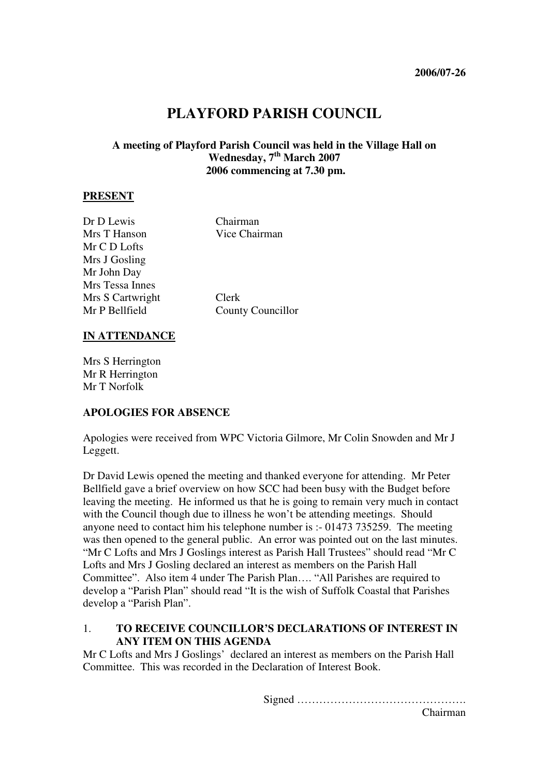# **PLAYFORD PARISH COUNCIL**

### **A meeting of Playford Parish Council was held in the Village Hall on Wednesday, 7th March 2007 2006 commencing at 7.30 pm.**

#### **PRESENT**

| Dr D Lewis       | Chairman                 |
|------------------|--------------------------|
| Mrs T Hanson     | Vice Chairman            |
| Mr C D Lofts     |                          |
| Mrs J Gosling    |                          |
| Mr John Day      |                          |
| Mrs Tessa Innes  |                          |
| Mrs S Cartwright | Clerk                    |
| Mr P Bellfield   | <b>County Councillor</b> |
|                  |                          |

#### **IN ATTENDANCE**

Mrs S Herrington Mr R Herrington Mr T Norfolk

#### **APOLOGIES FOR ABSENCE**

Apologies were received from WPC Victoria Gilmore, Mr Colin Snowden and Mr J Leggett.

Dr David Lewis opened the meeting and thanked everyone for attending. Mr Peter Bellfield gave a brief overview on how SCC had been busy with the Budget before leaving the meeting. He informed us that he is going to remain very much in contact with the Council though due to illness he won't be attending meetings. Should anyone need to contact him his telephone number is :- 01473 735259. The meeting was then opened to the general public. An error was pointed out on the last minutes. "Mr C Lofts and Mrs J Goslings interest as Parish Hall Trustees" should read "Mr C Lofts and Mrs J Gosling declared an interest as members on the Parish Hall Committee". Also item 4 under The Parish Plan…. "All Parishes are required to develop a "Parish Plan" should read "It is the wish of Suffolk Coastal that Parishes develop a "Parish Plan".

### 1. **TO RECEIVE COUNCILLOR'S DECLARATIONS OF INTEREST IN ANY ITEM ON THIS AGENDA**

Mr C Lofts and Mrs J Goslings' declared an interest as members on the Parish Hall Committee. This was recorded in the Declaration of Interest Book.

Signed ……………………………………….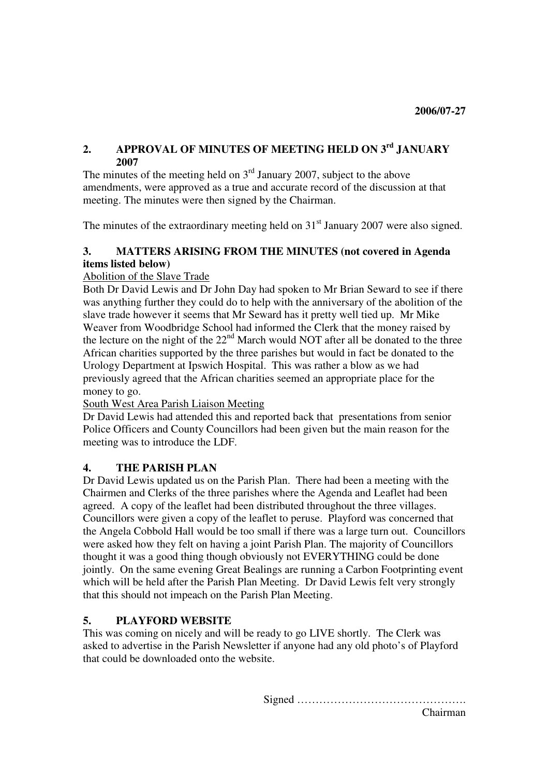### **2. APPROVAL OF MINUTES OF MEETING HELD ON 3rd JANUARY 2007**

The minutes of the meeting held on  $3<sup>rd</sup>$  January 2007, subject to the above amendments, were approved as a true and accurate record of the discussion at that meeting. The minutes were then signed by the Chairman.

The minutes of the extraordinary meeting held on  $31<sup>st</sup>$  January 2007 were also signed.

# **3. MATTERS ARISING FROM THE MINUTES (not covered in Agenda items listed below)**

### Abolition of the Slave Trade

Both Dr David Lewis and Dr John Day had spoken to Mr Brian Seward to see if there was anything further they could do to help with the anniversary of the abolition of the slave trade however it seems that Mr Seward has it pretty well tied up. Mr Mike Weaver from Woodbridge School had informed the Clerk that the money raised by the lecture on the night of the 22<sup>nd</sup> March would NOT after all be donated to the three African charities supported by the three parishes but would in fact be donated to the Urology Department at Ipswich Hospital. This was rather a blow as we had previously agreed that the African charities seemed an appropriate place for the money to go.

### South West Area Parish Liaison Meeting

Dr David Lewis had attended this and reported back that presentations from senior Police Officers and County Councillors had been given but the main reason for the meeting was to introduce the LDF.

## **4. THE PARISH PLAN**

Dr David Lewis updated us on the Parish Plan. There had been a meeting with the Chairmen and Clerks of the three parishes where the Agenda and Leaflet had been agreed. A copy of the leaflet had been distributed throughout the three villages. Councillors were given a copy of the leaflet to peruse. Playford was concerned that the Angela Cobbold Hall would be too small if there was a large turn out. Councillors were asked how they felt on having a joint Parish Plan. The majority of Councillors thought it was a good thing though obviously not EVERYTHING could be done jointly. On the same evening Great Bealings are running a Carbon Footprinting event which will be held after the Parish Plan Meeting. Dr David Lewis felt very strongly that this should not impeach on the Parish Plan Meeting.

## **5. PLAYFORD WEBSITE**

This was coming on nicely and will be ready to go LIVE shortly. The Clerk was asked to advertise in the Parish Newsletter if anyone had any old photo's of Playford that could be downloaded onto the website.

Signed ……………………………………….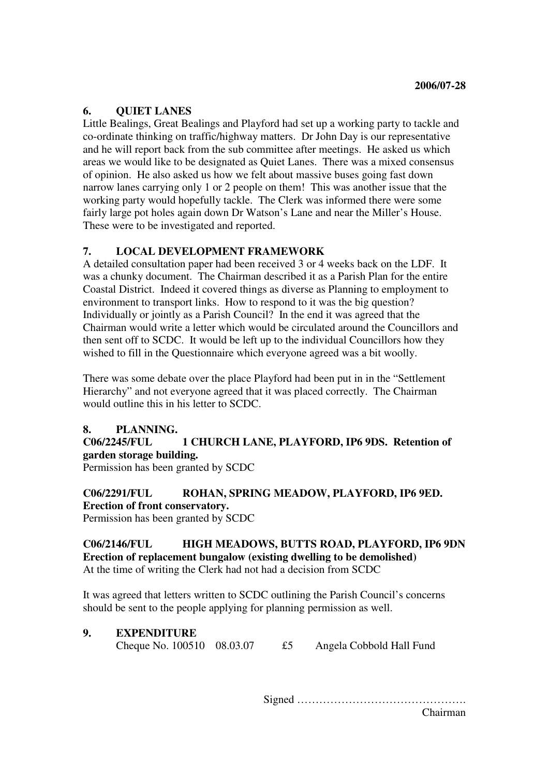### **6. QUIET LANES**

Little Bealings, Great Bealings and Playford had set up a working party to tackle and co-ordinate thinking on traffic/highway matters. Dr John Day is our representative and he will report back from the sub committee after meetings. He asked us which areas we would like to be designated as Quiet Lanes. There was a mixed consensus of opinion. He also asked us how we felt about massive buses going fast down narrow lanes carrying only 1 or 2 people on them! This was another issue that the working party would hopefully tackle. The Clerk was informed there were some fairly large pot holes again down Dr Watson's Lane and near the Miller's House. These were to be investigated and reported.

### **7. LOCAL DEVELOPMENT FRAMEWORK**

A detailed consultation paper had been received 3 or 4 weeks back on the LDF. It was a chunky document. The Chairman described it as a Parish Plan for the entire Coastal District. Indeed it covered things as diverse as Planning to employment to environment to transport links. How to respond to it was the big question? Individually or jointly as a Parish Council? In the end it was agreed that the Chairman would write a letter which would be circulated around the Councillors and then sent off to SCDC. It would be left up to the individual Councillors how they wished to fill in the Questionnaire which everyone agreed was a bit woolly.

There was some debate over the place Playford had been put in in the "Settlement Hierarchy" and not everyone agreed that it was placed correctly. The Chairman would outline this in his letter to SCDC.

### **8. PLANNING.**

### **C06/2245/FUL 1 CHURCH LANE, PLAYFORD, IP6 9DS. Retention of garden storage building.**

Permission has been granted by SCDC

# **C06/2291/FUL ROHAN, SPRING MEADOW, PLAYFORD, IP6 9ED. Erection of front conservatory.**

Permission has been granted by SCDC

#### **C06/2146/FUL HIGH MEADOWS, BUTTS ROAD, PLAYFORD, IP6 9DN Erection of replacement bungalow (existing dwelling to be demolished)** At the time of writing the Clerk had not had a decision from SCDC

It was agreed that letters written to SCDC outlining the Parish Council's concerns should be sent to the people applying for planning permission as well.

**9. EXPENDITURE**  Cheque No. 100510 08.03.07 £5 Angela Cobbold Hall Fund

Signed ……………………………………….